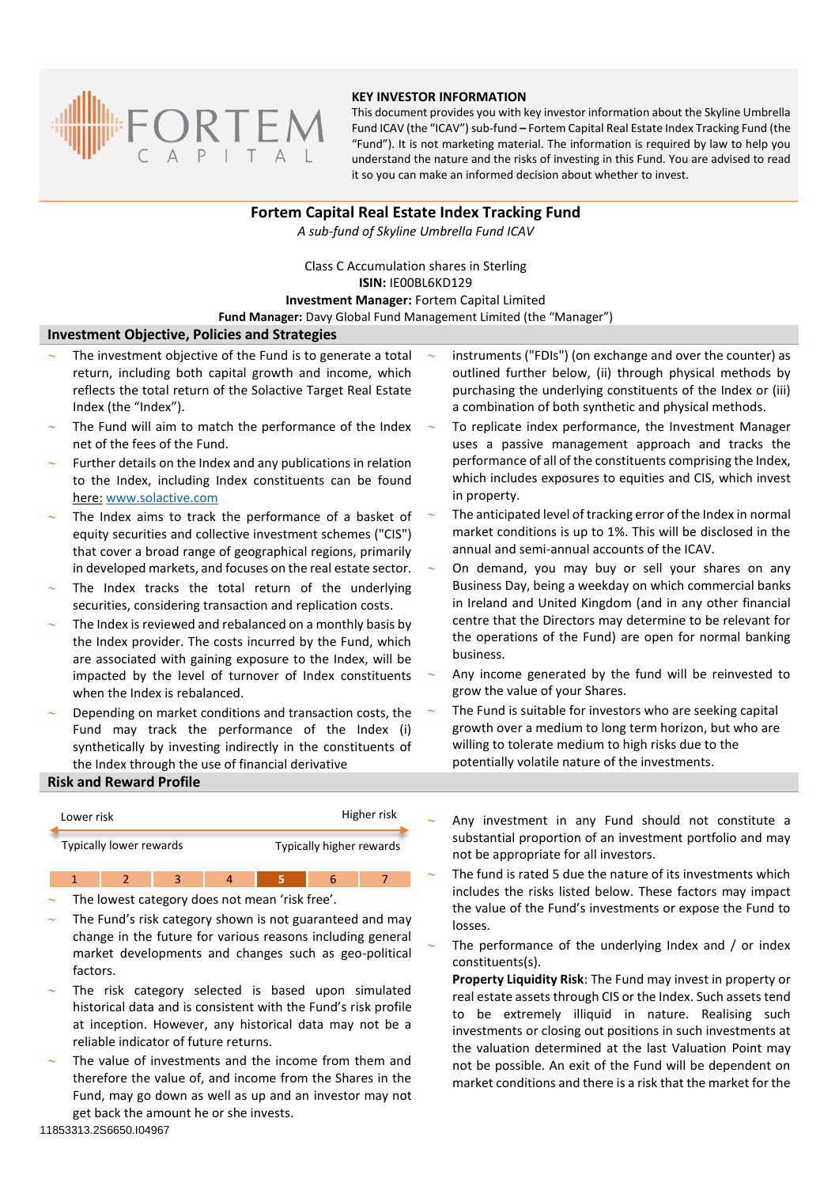

#### **KEY INVESTOR INFORMATION**

This document provides you with key investor information about the Skyline Umbrella Fund ICAV (the "ICAV") sub-fund **–** Fortem Capital Real Estate Index Tracking Fund (the "Fund"). It is not marketing material. The information is required by law to help you understand the nature and the risks of investing in this Fund. You are advised to read it so you can make an informed decision about whether to invest.

# **Fortem Capital Real Estate Index Tracking Fund**

*A sub-fund of Skyline Umbrella Fund ICAV*

Class C Accumulation shares in Sterling **ISIN:** IE00BL6KD129 **Investment Manager:** Fortem Capital Limited **Fund Manager:** Davy Global Fund Management Limited (the "Manager")

#### **Investment Objective, Policies and Strategies**

- The investment objective of the Fund is to generate a total return, including both capital growth and income, which reflects the total return of the Solactive Target Real Estate Index (the "Index").
- The Fund will aim to match the performance of the Index net of the fees of the Fund.
- Further details on the Index and any publications in relation to the Index, including Index constituents can be found here: [www.solactive.com](http://www.solactive.com/)
- The Index aims to track the performance of a basket of equity securities and collective investment schemes ("CIS") that cover a broad range of geographical regions, primarily in developed markets, and focuses on the real estate sector.
- The Index tracks the total return of the underlying securities, considering transaction and replication costs.
- The Index is reviewed and rebalanced on a monthly basis by the Index provider. The costs incurred by the Fund, which are associated with gaining exposure to the Index, will be impacted by the level of turnover of Index constituents when the Index is rebalanced.
- Depending on market conditions and transaction costs, the Fund may track the performance of the Index (i) synthetically by investing indirectly in the constituents of the Index through the use of financial derivative
- instruments ("FDIs") (on exchange and over the counter) as outlined further below, (ii) through physical methods by purchasing the underlying constituents of the Index or (iii) a combination of both synthetic and physical methods.
- To replicate index performance, the Investment Manager uses a passive management approach and tracks the performance of all of the constituents comprising the Index, which includes exposures to equities and CIS, which invest in property.
- The anticipated level of tracking error of the Index in normal market conditions is up to 1%. This will be disclosed in the annual and semi-annual accounts of the ICAV.
- On demand, you may buy or sell your shares on any Business Day, being a weekday on which commercial banks in Ireland and United Kingdom (and in any other financial centre that the Directors may determine to be relevant for the operations of the Fund) are open for normal banking business.
- Any income generated by the fund will be reinvested to grow the value of your Shares.
- The Fund is suitable for investors who are seeking capital growth over a medium to long term horizon, but who are willing to tolerate medium to high risks due to the potentially volatile nature of the investments.

## **Risk and Reward Profile**

| Lower risk              |  |  |  | Higher risk              |  |  |
|-------------------------|--|--|--|--------------------------|--|--|
| Typically lower rewards |  |  |  | Typically higher rewards |  |  |
|                         |  |  |  |                          |  |  |

The lowest category does not mean 'risk free'.

- The Fund's risk category shown is not guaranteed and may change in the future for various reasons including general market developments and changes such as geo-political factors.
- The risk category selected is based upon simulated historical data and is consistent with the Fund's risk profile at inception. However, any historical data may not be a reliable indicator of future returns.
- The value of investments and the income from them and therefore the value of, and income from the Shares in the Fund, may go down as well as up and an investor may not get back the amount he or she invests.
- Any investment in any Fund should not constitute a substantial proportion of an investment portfolio and may not be appropriate for all investors.
- The fund is rated 5 due the nature of its investments which includes the risks listed below. These factors may impact the value of the Fund's investments or expose the Fund to losses.
- The performance of the underlying Index and / or index constituents(s).

**Property Liquidity Risk**: The Fund may invest in property or real estate assets through CIS or the Index. Such assets tend to be extremely illiquid in nature. Realising such investments or closing out positions in such investments at the valuation determined at the last Valuation Point may not be possible. An exit of the Fund will be dependent on market conditions and there is a risk that the market for the